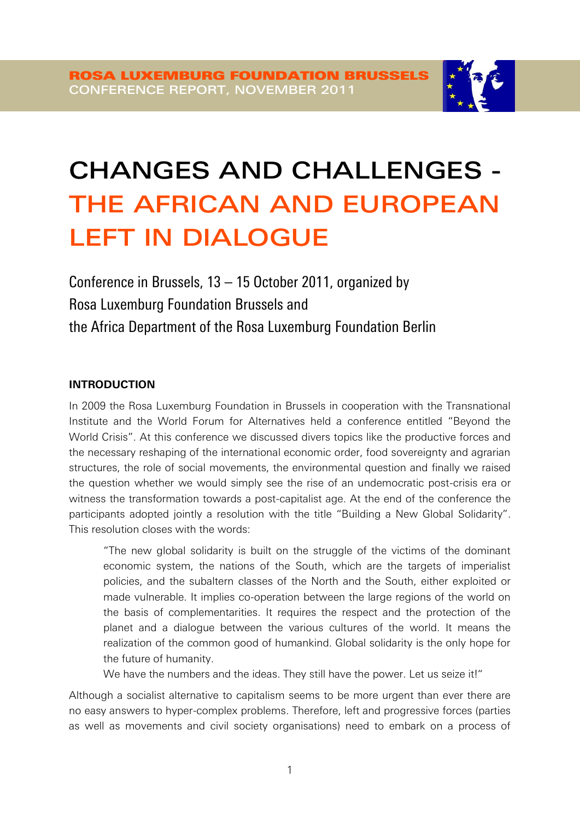

# CHANGES AND CHALLENGES - THE AFRICAN AND EUROPEAN LEFT IN DIALOGUE

Conference in Brussels, 13 – 15 October 2011, organized by Rosa Luxemburg Foundation Brussels and the Africa Department of the Rosa Luxemburg Foundation Berlin

## **INTRODUCTION**

In 2009 the Rosa Luxemburg Foundation in Brussels in cooperation with the Transnational Institute and the World Forum for Alternatives held a conference entitled 'Beyond the World Crisis'. At this conference we discussed divers topics like the productive forces and the necessary reshaping of the international economic order, food sovereignty and agrarian structures, the role of social movements, the environmental question and finally we raised the question whether we would simply see the rise of an undemocratic post-crisis era or witness the transformation towards a post-capitalist age. At the end of the conference the participants adopted jointly a resolution with the title 'Building a New Global Solidarity'. This resolution closes with the words:

'The new global solidarity is built on the struggle of the victims of the dominant economic system, the nations of the South, which are the targets of imperialist policies, and the subaltern classes of the North and the South, either exploited or made vulnerable. It implies co-operation between the large regions of the world on the basis of complementarities. It requires the respect and the protection of the planet and a dialogue between the various cultures of the world. It means the realization of the common good of humankind. Global solidarity is the only hope for the future of humanity.

We have the numbers and the ideas. They still have the power. Let us seize it!"

Although a socialist alternative to capitalism seems to be more urgent than ever there are no easy answers to hyper-complex problems. Therefore, left and progressive forces (parties as well as movements and civil society organisations) need to embark on a process of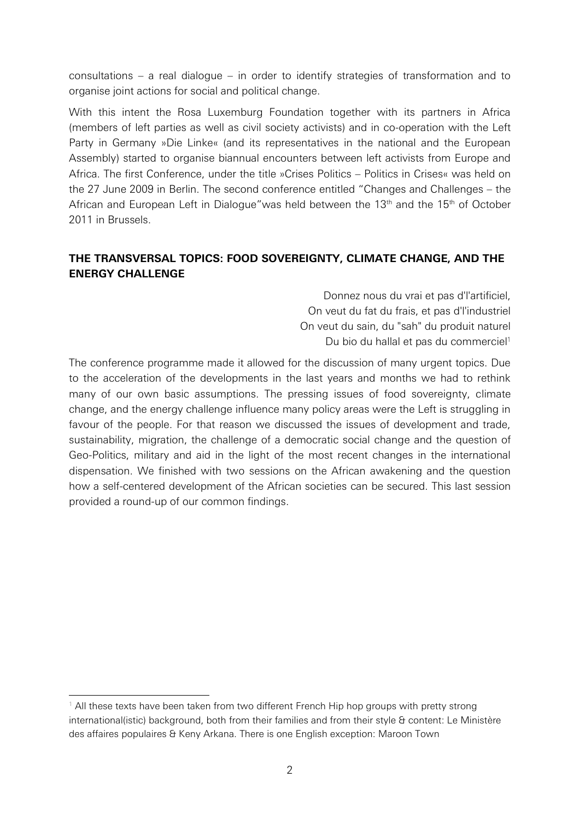consultations – a real dialogue – in order to identify strategies of transformation and to organise joint actions for social and political change.

With this intent the Rosa Luxemburg Foundation together with its partners in Africa (members of left parties as well as civil society activists) and in co-operation with the Left Party in Germany »Die Linke« (and its representatives in the national and the European Assembly) started to organise biannual encounters between left activists from Europe and Africa. The first Conference, under the title »Crises Politics – Politics in Crises« was held on the 27 June 2009 in Berlin. The second conference entitled 'Changes and Challenges – the African and European Left in Dialogue" was held between the  $13<sup>th</sup>$  and the  $15<sup>th</sup>$  of October 2011 in Brussels.

# **THE TRANSVERSAL TOPICS: FOOD SOVEREIGNTY, CLIMATE CHANGE, AND THE ENERGY CHALLENGE**

Donnez nous du vrai et pas d'l'artificiel, On veut du fat du frais, et pas d'l'industriel On veut du sain, du "sah" du produit naturel Du bio du hallal et pas du commerciel<sup>1</sup>

The conference programme made it allowed for the discussion of many urgent topics. Due to the acceleration of the developments in the last years and months we had to rethink many of our own basic assumptions. The pressing issues of food sovereignty, climate change, and the energy challenge influence many policy areas were the Left is struggling in favour of the people. For that reason we discussed the issues of development and trade, sustainability, migration, the challenge of a democratic social change and the question of Geo-Politics, military and aid in the light of the most recent changes in the international dispensation. We finished with two sessions on the African awakening and the question how a self-centered development of the African societies can be secured. This last session provided a round-up of our common findings.

<sup>-</sup><sup>1</sup> All these texts have been taken from two different French Hip hop groups with pretty strong international(istic) background, both from their families and from their style & content: Le Ministère des affaires populaires & Keny Arkana. There is one English exception: Maroon Town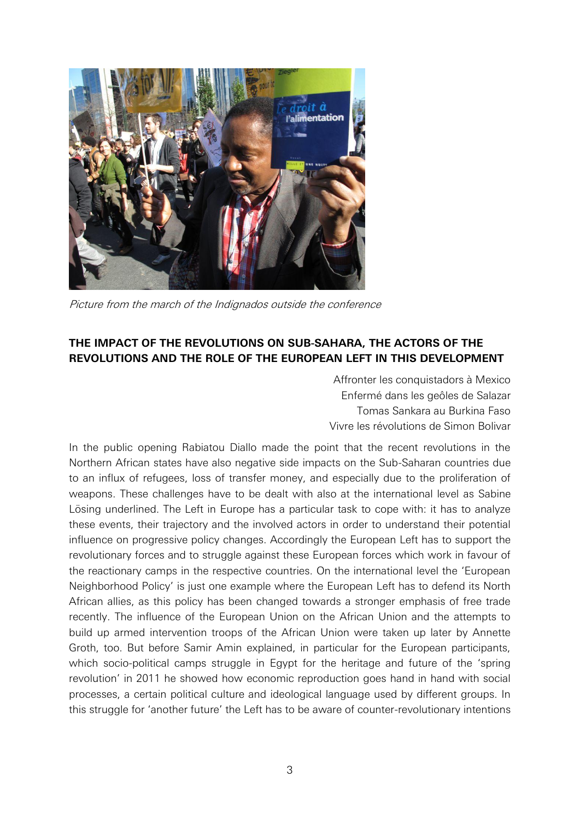

Picture from the march of the Indignados outside the conference

## **THE IMPACT OF THE REVOLUTIONS ON SUB-SAHARA, THE ACTORS OF THE REVOLUTIONS AND THE ROLE OF THE EUROPEAN LEFT IN THIS DEVELOPMENT**

Affronter les conquistadors à Mexico Enfermé dans les geôles de Salazar Tomas Sankara au Burkina Faso Vivre les révolutions de Simon Bolivar

In the public opening Rabiatou Diallo made the point that the recent revolutions in the Northern African states have also negative side impacts on the Sub-Saharan countries due to an influx of refugees, loss of transfer money, and especially due to the proliferation of weapons. These challenges have to be dealt with also at the international level as Sabine Lösing underlined. The Left in Europe has a particular task to cope with: it has to analyze these events, their trajectory and the involved actors in order to understand their potential influence on progressive policy changes. Accordingly the European Left has to support the revolutionary forces and to struggle against these European forces which work in favour of the reactionary camps in the respective countries. On the international level the 'European Neighborhood Policy' is just one example where the European Left has to defend its North African allies, as this policy has been changed towards a stronger emphasis of free trade recently. The influence of the European Union on the African Union and the attempts to build up armed intervention troops of the African Union were taken up later by Annette Groth, too. But before Samir Amin explained, in particular for the European participants, which socio-political camps struggle in Egypt for the heritage and future of the 'spring revolution' in 2011 he showed how economic reproduction goes hand in hand with social processes, a certain political culture and ideological language used by different groups. In this struggle for 'another future' the Left has to be aware of counter-revolutionary intentions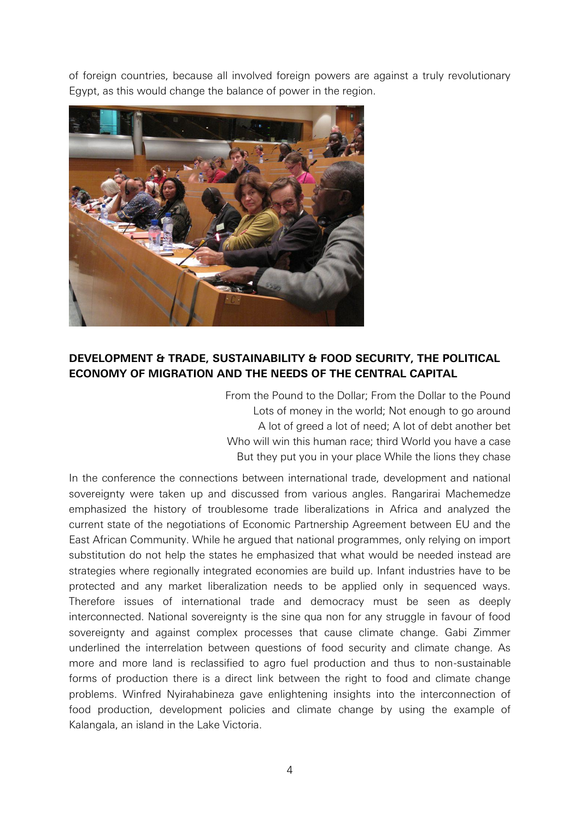of foreign countries, because all involved foreign powers are against a truly revolutionary Egypt, as this would change the balance of power in the region.



## **DEVELOPMENT & TRADE, SUSTAINABILITY & FOOD SECURITY, THE POLITICAL ECONOMY OF MIGRATION AND THE NEEDS OF THE CENTRAL CAPITAL**

From the Pound to the Dollar; From the Dollar to the Pound Lots of money in the world; Not enough to go around A lot of greed a lot of need; A lot of debt another bet Who will win this human race; third World you have a case But they put you in your place While the lions they chase

In the conference the connections between international trade, development and national sovereignty were taken up and discussed from various angles. Rangarirai Machemedze emphasized the history of troublesome trade liberalizations in Africa and analyzed the current state of the negotiations of Economic Partnership Agreement between EU and the East African Community. While he argued that national programmes, only relying on import substitution do not help the states he emphasized that what would be needed instead are strategies where regionally integrated economies are build up. Infant industries have to be protected and any market liberalization needs to be applied only in sequenced ways. Therefore issues of international trade and democracy must be seen as deeply interconnected. National sovereignty is the sine qua non for any struggle in favour of food sovereignty and against complex processes that cause climate change. Gabi Zimmer underlined the interrelation between questions of food security and climate change. As more and more land is reclassified to agro fuel production and thus to non-sustainable forms of production there is a direct link between the right to food and climate change problems. Winfred Nyirahabineza gave enlightening insights into the interconnection of food production, development policies and climate change by using the example of Kalangala, an island in the Lake Victoria.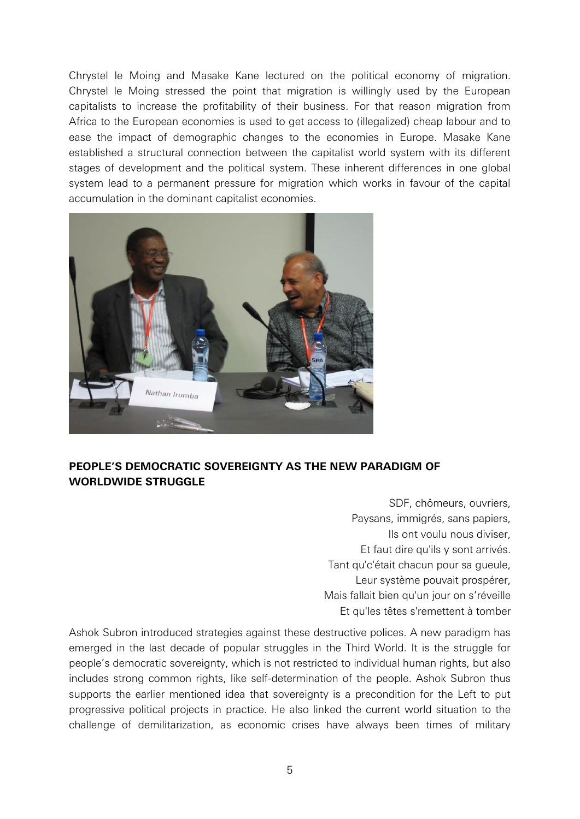Chrystel le Moing and Masake Kane lectured on the political economy of migration. Chrystel le Moing stressed the point that migration is willingly used by the European capitalists to increase the profitability of their business. For that reason migration from Africa to the European economies is used to get access to (illegalized) cheap labour and to ease the impact of demographic changes to the economies in Europe. Masake Kane established a structural connection between the capitalist world system with its different stages of development and the political system. These inherent differences in one global system lead to a permanent pressure for migration which works in favour of the capital accumulation in the dominant capitalist economies.



## **PEOPLE'S DEMOCRATIC SOVEREIGNTY AS THE NEW PARADIGM OF WORLDWIDE STRUGGLE**

SDF, chômeurs, ouvriers, Paysans, immigrés, sans papiers, Ils ont voulu nous diviser, Et faut dire qu'ils y sont arrivés. Tant qu'c'était chacun pour sa gueule, Leur système pouvait prospérer, Mais fallait bien qu'un jour on s'réveille Et qu'les têtes s'remettent à tomber

Ashok Subron introduced strategies against these destructive polices. A new paradigm has emerged in the last decade of popular struggles in the Third World. It is the struggle for people's democratic sovereignty, which is not restricted to individual human rights, but also includes strong common rights, like self-determination of the people. Ashok Subron thus supports the earlier mentioned idea that sovereignty is a precondition for the Left to put progressive political projects in practice. He also linked the current world situation to the challenge of demilitarization, as economic crises have always been times of military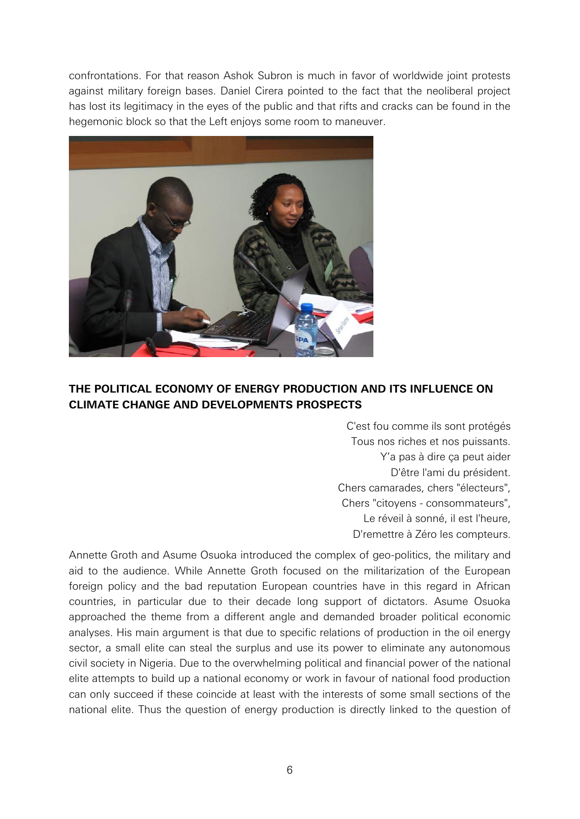confrontations. For that reason Ashok Subron is much in favor of worldwide joint protests against military foreign bases. Daniel Cirera pointed to the fact that the neoliberal project has lost its legitimacy in the eyes of the public and that rifts and cracks can be found in the hegemonic block so that the Left enjoys some room to maneuver.



# **THE POLITICAL ECONOMY OF ENERGY PRODUCTION AND ITS INFLUENCE ON CLIMATE CHANGE AND DEVELOPMENTS PROSPECTS**

C'est fou comme ils sont protégés Tous nos riches et nos puissants. Y'a pas à dire ça peut aider D'être l'ami du président. Chers camarades, chers "électeurs", Chers "citoyens - consommateurs", Le réveil à sonné, il est l'heure, D'remettre à Zéro les compteurs.

Annette Groth and Asume Osuoka introduced the complex of geo-politics, the military and aid to the audience. While Annette Groth focused on the militarization of the European foreign policy and the bad reputation European countries have in this regard in African countries, in particular due to their decade long support of dictators. Asume Osuoka approached the theme from a different angle and demanded broader political economic analyses. His main argument is that due to specific relations of production in the oil energy sector, a small elite can steal the surplus and use its power to eliminate any autonomous civil society in Nigeria. Due to the overwhelming political and financial power of the national elite attempts to build up a national economy or work in favour of national food production can only succeed if these coincide at least with the interests of some small sections of the national elite. Thus the question of energy production is directly linked to the question of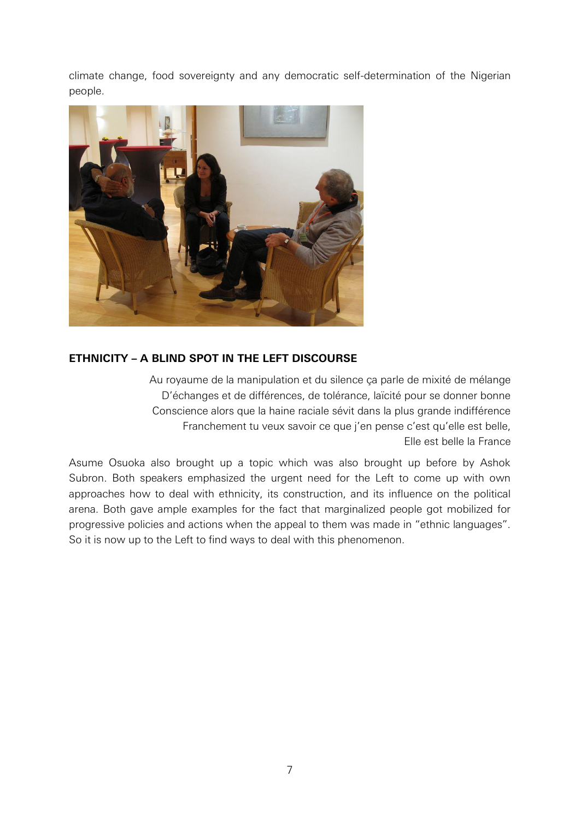climate change, food sovereignty and any democratic self-determination of the Nigerian people.



### **ETHNICITY – A BLIND SPOT IN THE LEFT DISCOURSE**

Au royaume de la manipulation et du silence ça parle de mixité de mélange D'échanges et de différences, de tolérance, laïcité pour se donner bonne Conscience alors que la haine raciale sévit dans la plus grande indifférence Franchement tu veux savoir ce que j'en pense c'est qu'elle est belle, Elle est belle la France

Asume Osuoka also brought up a topic which was also brought up before by Ashok Subron. Both speakers emphasized the urgent need for the Left to come up with own approaches how to deal with ethnicity, its construction, and its influence on the political arena. Both gave ample examples for the fact that marginalized people got mobilized for progressive policies and actions when the appeal to them was made in 'ethnic languages'. So it is now up to the Left to find ways to deal with this phenomenon.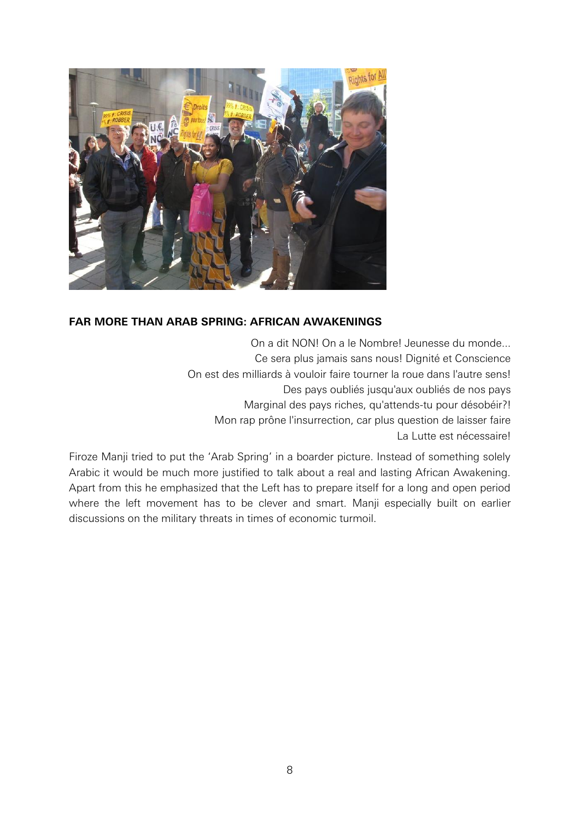

### **FAR MORE THAN ARAB SPRING: AFRICAN AWAKENINGS**

On a dit NON! On a le Nombre! Jeunesse du monde... Ce sera plus jamais sans nous! Dignité et Conscience On est des milliards à vouloir faire tourner la roue dans l'autre sens! Des pays oubliés jusqu'aux oubliés de nos pays Marginal des pays riches, qu'attends-tu pour désobéir?! Mon rap prône l'insurrection, car plus question de laisser faire La Lutte est nécessaire!

Firoze Manji tried to put the 'Arab Spring' in a boarder picture. Instead of something solely Arabic it would be much more justified to talk about a real and lasting African Awakening. Apart from this he emphasized that the Left has to prepare itself for a long and open period where the left movement has to be clever and smart. Manji especially built on earlier discussions on the military threats in times of economic turmoil.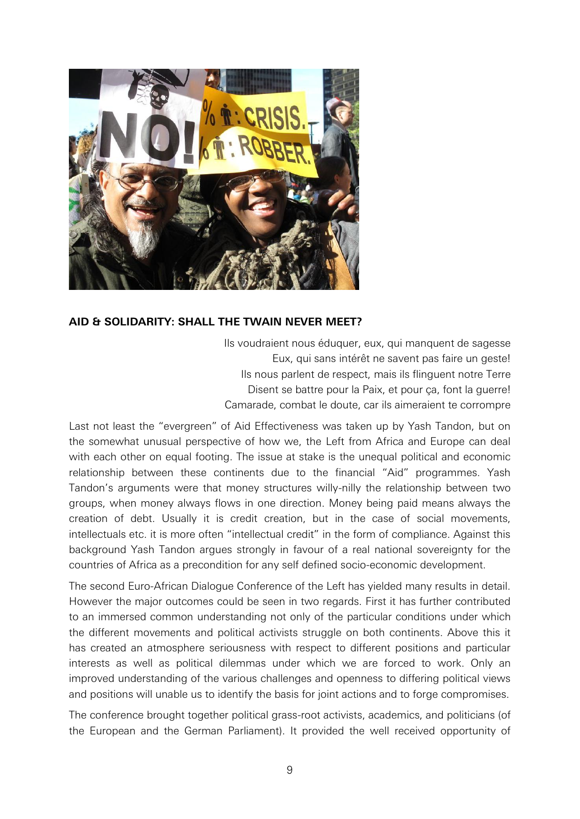

### **AID & SOLIDARITY: SHALL THE TWAIN NEVER MEET?**

Ils voudraient nous éduquer, eux, qui manquent de sagesse Eux, qui sans intérêt ne savent pas faire un geste! Ils nous parlent de respect, mais ils flinguent notre Terre Disent se battre pour la Paix, et pour ca, font la querre! Camarade, combat le doute, car ils aimeraient te corrompre

Last not least the 'evergreen' of Aid Effectiveness was taken up by Yash Tandon, but on the somewhat unusual perspective of how we, the Left from Africa and Europe can deal with each other on equal footing. The issue at stake is the unequal political and economic relationship between these continents due to the financial 'Aid' programmes. Yash Tandon's arguments were that money structures willy-nilly the relationship between two groups, when money always flows in one direction. Money being paid means always the creation of debt. Usually it is credit creation, but in the case of social movements, intellectuals etc. it is more often 'intellectual credit' in the form of compliance. Against this background Yash Tandon argues strongly in favour of a real national sovereignty for the countries of Africa as a precondition for any self defined socio-economic development.

The second Euro-African Dialogue Conference of the Left has yielded many results in detail. However the major outcomes could be seen in two regards. First it has further contributed to an immersed common understanding not only of the particular conditions under which the different movements and political activists struggle on both continents. Above this it has created an atmosphere seriousness with respect to different positions and particular interests as well as political dilemmas under which we are forced to work. Only an improved understanding of the various challenges and openness to differing political views and positions will unable us to identify the basis for joint actions and to forge compromises.

The conference brought together political grass-root activists, academics, and politicians (of the European and the German Parliament). It provided the well received opportunity of